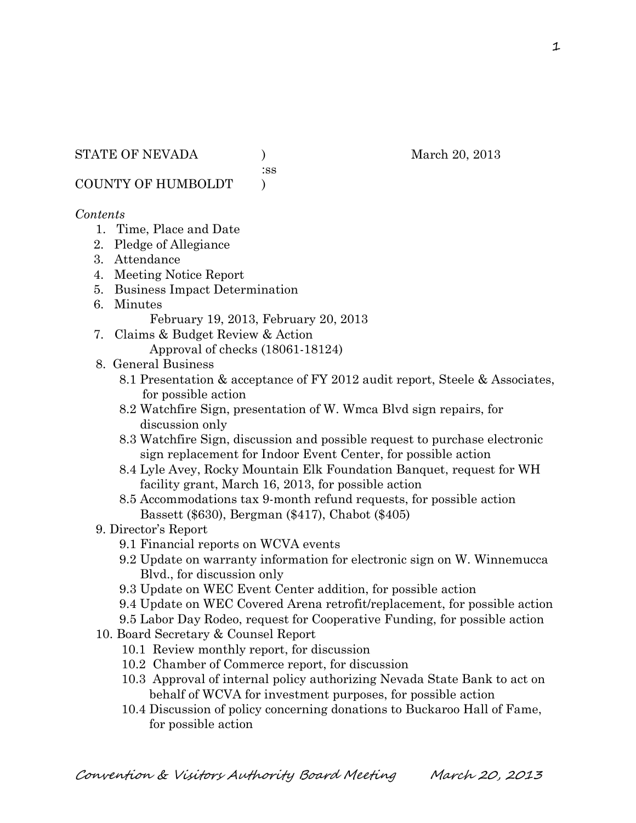:ss

COUNTY OF HUMBOLDT )

### *Contents*

- 1. Time, Place and Date
- 2. Pledge of Allegiance
- 3. Attendance
- 4. Meeting Notice Report
- 5. Business Impact Determination
- 6. Minutes

February 19, 2013, February 20, 2013

- 7. Claims & Budget Review & Action Approval of checks (18061-18124)
- 8. General Business
	- 8.1 Presentation & acceptance of FY 2012 audit report, Steele & Associates, for possible action
	- 8.2 Watchfire Sign, presentation of W. Wmca Blvd sign repairs, for discussion only
	- 8.3 Watchfire Sign, discussion and possible request to purchase electronic sign replacement for Indoor Event Center, for possible action
	- 8.4 Lyle Avey, Rocky Mountain Elk Foundation Banquet, request for WH facility grant, March 16, 2013, for possible action
	- 8.5 Accommodations tax 9-month refund requests, for possible action Bassett (\$630), Bergman (\$417), Chabot (\$405)

## 9. Director's Report

- 9.1 Financial reports on WCVA events
- 9.2 Update on warranty information for electronic sign on W. Winnemucca Blvd., for discussion only
- 9.3 Update on WEC Event Center addition, for possible action
- 9.4 Update on WEC Covered Arena retrofit/replacement, for possible action
- 9.5 Labor Day Rodeo, request for Cooperative Funding, for possible action
- 10. Board Secretary & Counsel Report
	- 10.1 Review monthly report, for discussion
	- 10.2 Chamber of Commerce report, for discussion
	- 10.3 Approval of internal policy authorizing Nevada State Bank to act on behalf of WCVA for investment purposes, for possible action
	- 10.4 Discussion of policy concerning donations to Buckaroo Hall of Fame, for possible action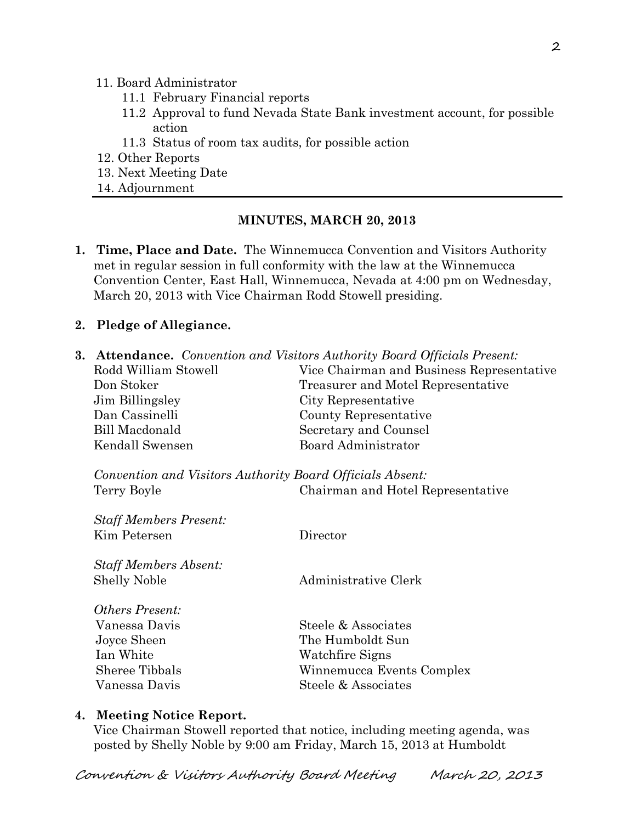#### 11. Board Administrator

- 11.1 February Financial reports
- 11.2 Approval to fund Nevada State Bank investment account, for possible action
- 11.3 Status of room tax audits, for possible action
- 12. Other Reports
- 13. Next Meeting Date
- 14. Adjournment

### **MINUTES, MARCH 20, 2013**

**1. Time, Place and Date.** The Winnemucca Convention and Visitors Authority met in regular session in full conformity with the law at the Winnemucca Convention Center, East Hall, Winnemucca, Nevada at 4:00 pm on Wednesday, March 20, 2013 with Vice Chairman Rodd Stowell presiding.

### **2. Pledge of Allegiance.**

| <b>3. Attendance.</b> Convention and Visitors Authority Board Officials Present: |                                           |  |
|----------------------------------------------------------------------------------|-------------------------------------------|--|
| Rodd William Stowell                                                             | Vice Chairman and Business Representative |  |
| Don Stoker                                                                       | Treasurer and Motel Representative        |  |
| Jim Billingsley                                                                  | City Representative                       |  |
| Dan Cassinelli                                                                   | County Representative                     |  |
| <b>Bill Macdonald</b>                                                            | Secretary and Counsel                     |  |
| Kendall Swensen                                                                  | Board Administrator                       |  |
| Convention and Visitors Authority Board Officials Absent:                        |                                           |  |
| Terry Boyle                                                                      | Chairman and Hotel Representative         |  |
| <b>Staff Members Present:</b>                                                    |                                           |  |
| Kim Petersen                                                                     | Director                                  |  |
| <b>Staff Members Absent:</b>                                                     |                                           |  |
| <b>Shelly Noble</b>                                                              | Administrative Clerk                      |  |
| <i><b>Others Present:</b></i>                                                    |                                           |  |
| Vanessa Davis                                                                    | Steele & Associates                       |  |
| Joyce Sheen                                                                      | The Humboldt Sun                          |  |
| Ian White                                                                        | Watchfire Signs                           |  |
| Sheree Tibbals                                                                   | Winnemucca Events Complex                 |  |
| Vanessa Davis                                                                    | Steele & Associates                       |  |
|                                                                                  |                                           |  |

### **4. Meeting Notice Report.**

Vice Chairman Stowell reported that notice, including meeting agenda, was posted by Shelly Noble by 9:00 am Friday, March 15, 2013 at Humboldt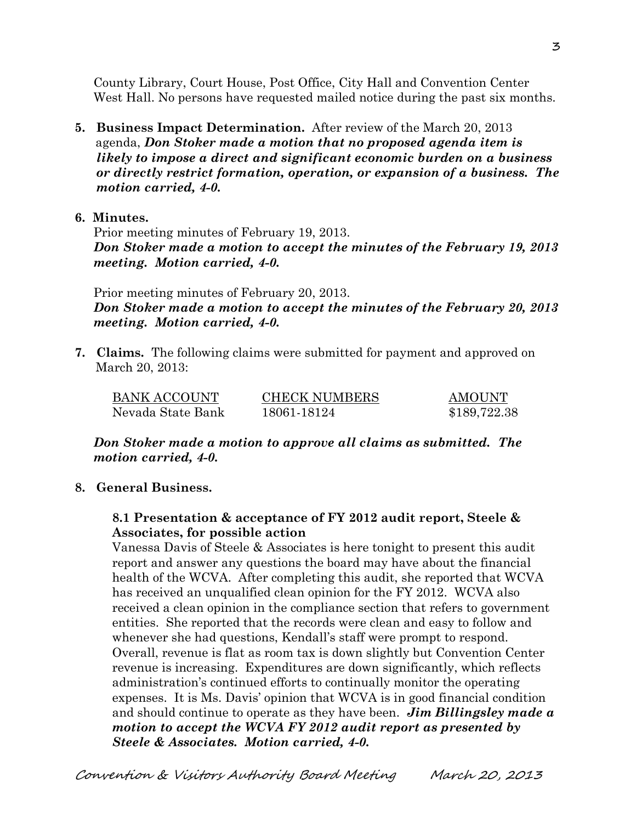County Library, Court House, Post Office, City Hall and Convention Center West Hall. No persons have requested mailed notice during the past six months.

- **5. Business Impact Determination.** After review of the March 20, 2013 agenda, *Don Stoker made a motion that no proposed agenda item is likely to impose a direct and significant economic burden on a business or directly restrict formation, operation, or expansion of a business. The motion carried, 4-0.*
- **6. Minutes.**

Prior meeting minutes of February 19, 2013. *Don Stoker made a motion to accept the minutes of the February 19, 2013 meeting. Motion carried, 4-0.* 

Prior meeting minutes of February 20, 2013. *Don Stoker made a motion to accept the minutes of the February 20, 2013 meeting. Motion carried, 4-0.* 

**7. Claims.** The following claims were submitted for payment and approved on March 20, 2013:

| BANK ACCOUNT      | <b>CHECK NUMBERS</b> | <b>AMOUNT</b> |
|-------------------|----------------------|---------------|
| Nevada State Bank | 18061-18124          | \$189,722.38  |

*Don Stoker made a motion to approve all claims as submitted. The motion carried, 4-0.* 

**8. General Business.**

### **8.1 Presentation & acceptance of FY 2012 audit report, Steele & Associates, for possible action**

Vanessa Davis of Steele & Associates is here tonight to present this audit report and answer any questions the board may have about the financial health of the WCVA. After completing this audit, she reported that WCVA has received an unqualified clean opinion for the FY 2012. WCVA also received a clean opinion in the compliance section that refers to government entities. She reported that the records were clean and easy to follow and whenever she had questions, Kendall's staff were prompt to respond. Overall, revenue is flat as room tax is down slightly but Convention Center revenue is increasing. Expenditures are down significantly, which reflects administration's continued efforts to continually monitor the operating expenses. It is Ms. Davis' opinion that WCVA is in good financial condition and should continue to operate as they have been. *Jim Billingsley made a motion to accept the WCVA FY 2012 audit report as presented by Steele & Associates. Motion carried, 4-0.*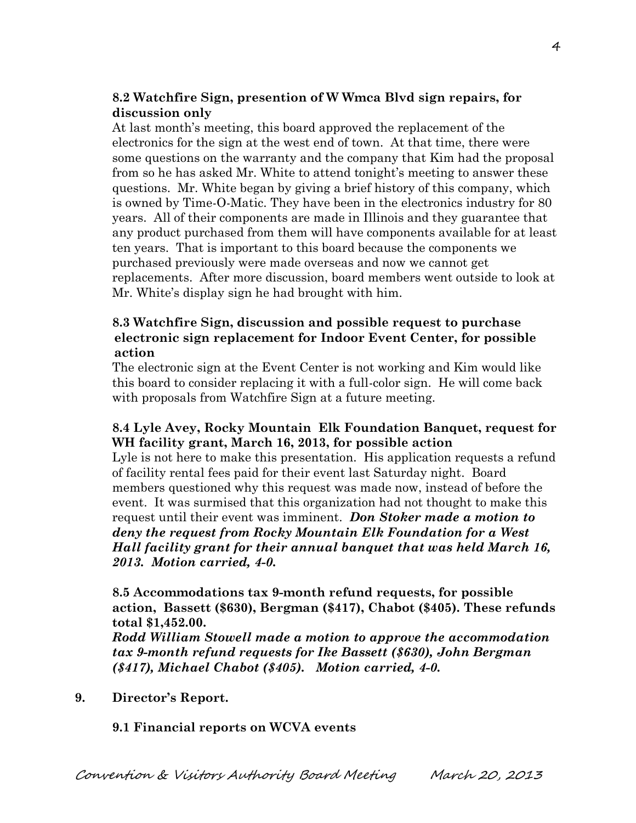## **8.2 Watchfire Sign, presention of W Wmca Blvd sign repairs, for discussion only**

At last month's meeting, this board approved the replacement of the electronics for the sign at the west end of town. At that time, there were some questions on the warranty and the company that Kim had the proposal from so he has asked Mr. White to attend tonight's meeting to answer these questions. Mr. White began by giving a brief history of this company, which is owned by Time-O-Matic. They have been in the electronics industry for 80 years. All of their components are made in Illinois and they guarantee that any product purchased from them will have components available for at least ten years. That is important to this board because the components we purchased previously were made overseas and now we cannot get replacements. After more discussion, board members went outside to look at Mr. White's display sign he had brought with him.

### **8.3 Watchfire Sign, discussion and possible request to purchase electronic sign replacement for Indoor Event Center, for possible action**

The electronic sign at the Event Center is not working and Kim would like this board to consider replacing it with a full-color sign. He will come back with proposals from Watchfire Sign at a future meeting.

### **8.4 Lyle Avey, Rocky Mountain Elk Foundation Banquet, request for WH facility grant, March 16, 2013, for possible action**

Lyle is not here to make this presentation. His application requests a refund of facility rental fees paid for their event last Saturday night. Board members questioned why this request was made now, instead of before the event. It was surmised that this organization had not thought to make this request until their event was imminent. *Don Stoker made a motion to deny the request from Rocky Mountain Elk Foundation for a West Hall facility grant for their annual banquet that was held March 16, 2013. Motion carried, 4-0.*

**8.5 Accommodations tax 9-month refund requests, for possible action, Bassett (\$630), Bergman (\$417), Chabot (\$405). These refunds total \$1,452.00.**

*Rodd William Stowell made a motion to approve the accommodation tax 9-month refund requests for Ike Bassett (\$630), John Bergman (\$417), Michael Chabot (\$405). Motion carried, 4-0.* 

**9. Director's Report.**

**9.1 Financial reports on WCVA events**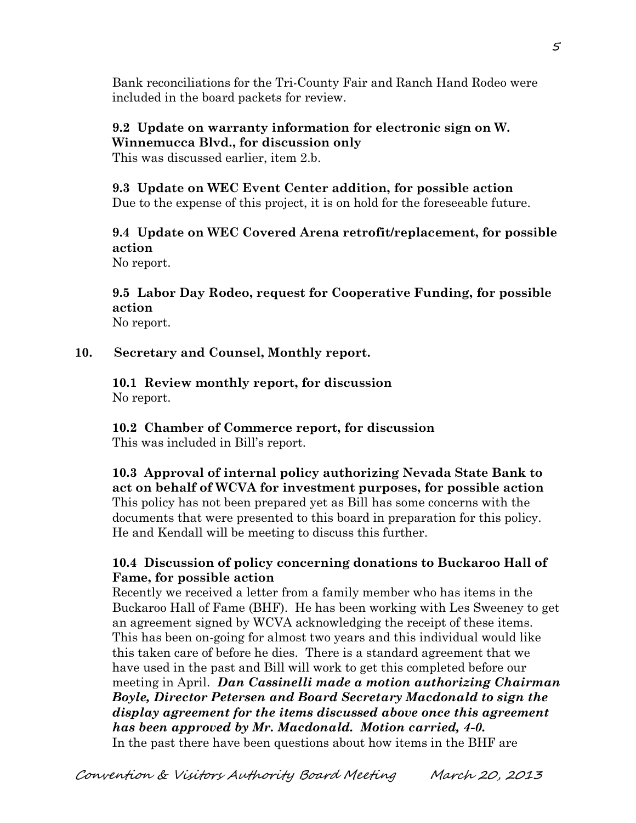Bank reconciliations for the Tri-County Fair and Ranch Hand Rodeo were included in the board packets for review.

# **9.2 Update on warranty information for electronic sign on W. Winnemucca Blvd., for discussion only**

This was discussed earlier, item 2.b.

# **9.3 Update on WEC Event Center addition, for possible action**

Due to the expense of this project, it is on hold for the foreseeable future.

# **9.4 Update on WEC Covered Arena retrofit/replacement, for possible action**

No report.

### **9.5 Labor Day Rodeo, request for Cooperative Funding, for possible action** No report.

# **10. Secretary and Counsel, Monthly report.**

**10.1 Review monthly report, for discussion** No report.

**10.2 Chamber of Commerce report, for discussion** This was included in Bill's report.

**10.3 Approval of internal policy authorizing Nevada State Bank to act on behalf of WCVA for investment purposes, for possible action** This policy has not been prepared yet as Bill has some concerns with the documents that were presented to this board in preparation for this policy. He and Kendall will be meeting to discuss this further.

## **10.4 Discussion of policy concerning donations to Buckaroo Hall of Fame, for possible action**

 Recently we received a letter from a family member who has items in the Buckaroo Hall of Fame (BHF). He has been working with Les Sweeney to get an agreement signed by WCVA acknowledging the receipt of these items. This has been on-going for almost two years and this individual would like this taken care of before he dies. There is a standard agreement that we have used in the past and Bill will work to get this completed before our meeting in April. *Dan Cassinelli made a motion authorizing Chairman Boyle, Director Petersen and Board Secretary Macdonald to sign the display agreement for the items discussed above once this agreement has been approved by Mr. Macdonald. Motion carried, 4-0.*  In the past there have been questions about how items in the BHF are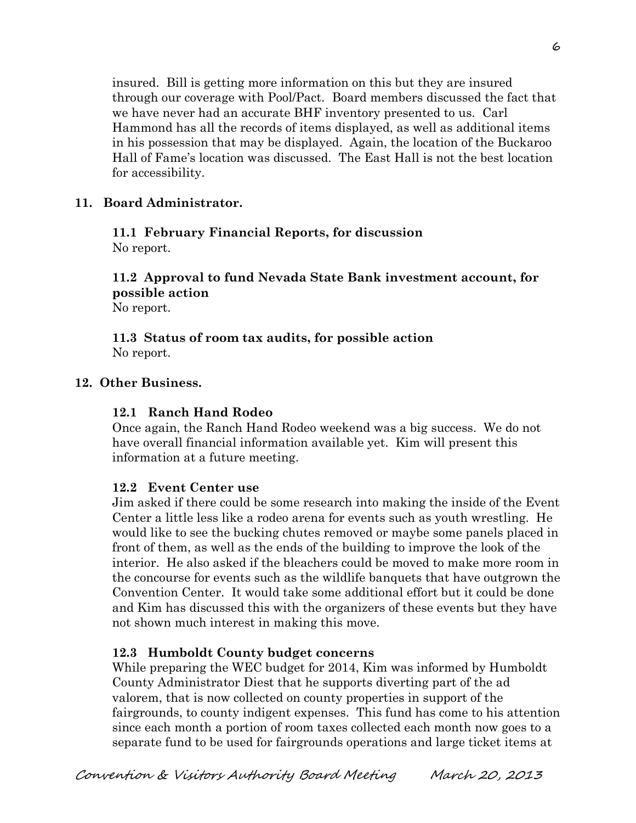insured. Bill is getting more information on this but they are insured through our coverage with Pool/Pact. Board members discussed the fact that we have never had an accurate BHF inventory presented to us. Carl Hammond has all the records of items displayed, as well as additional items in his possession that may be displayed. Again, the location of the Buckaroo Hall of Fame's location was discussed. The East Hall is not the best location for accessibility.

# **11. Board Administrator.**

## **11.1 February Financial Reports, for discussion** No report.

# **11.2 Approval to fund Nevada State Bank investment account, for possible action**

No report.

### **11.3 Status of room tax audits, for possible action** No report.

# **12. Other Business.**

# **12.1 Ranch Hand Rodeo**

Once again, the Ranch Hand Rodeo weekend was a big success. We do not have overall financial information available yet. Kim will present this information at a future meeting.

## **12.2 Event Center use**

Jim asked if there could be some research into making the inside of the Event Center a little less like a rodeo arena for events such as youth wrestling. He would like to see the bucking chutes removed or maybe some panels placed in front of them, as well as the ends of the building to improve the look of the interior. He also asked if the bleachers could be moved to make more room in the concourse for events such as the wildlife banquets that have outgrown the Convention Center. It would take some additional effort but it could be done and Kim has discussed this with the organizers of these events but they have not shown much interest in making this move.

## **12.3 Humboldt County budget concerns**

While preparing the WEC budget for 2014, Kim was informed by Humboldt County Administrator Diest that he supports diverting part of the ad valorem, that is now collected on county properties in support of the fairgrounds, to county indigent expenses. This fund has come to his attention since each month a portion of room taxes collected each month now goes to a separate fund to be used for fairgrounds operations and large ticket items at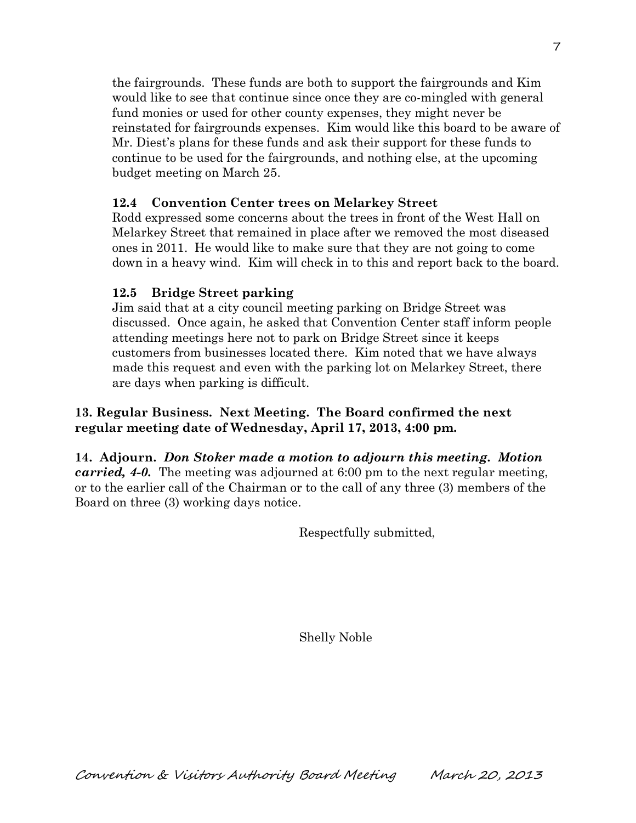the fairgrounds. These funds are both to support the fairgrounds and Kim would like to see that continue since once they are co-mingled with general fund monies or used for other county expenses, they might never be reinstated for fairgrounds expenses. Kim would like this board to be aware of Mr. Diest's plans for these funds and ask their support for these funds to continue to be used for the fairgrounds, and nothing else, at the upcoming budget meeting on March 25.

## **12.4 Convention Center trees on Melarkey Street**

Rodd expressed some concerns about the trees in front of the West Hall on Melarkey Street that remained in place after we removed the most diseased ones in 2011. He would like to make sure that they are not going to come down in a heavy wind. Kim will check in to this and report back to the board.

### **12.5 Bridge Street parking**

Jim said that at a city council meeting parking on Bridge Street was discussed. Once again, he asked that Convention Center staff inform people attending meetings here not to park on Bridge Street since it keeps customers from businesses located there. Kim noted that we have always made this request and even with the parking lot on Melarkey Street, there are days when parking is difficult.

## **13. Regular Business. Next Meeting. The Board confirmed the next regular meeting date of Wednesday, April 17, 2013, 4:00 pm.**

**14. Adjourn.** *Don Stoker made a motion to adjourn this meeting. Motion carried, 4-0.* The meeting was adjourned at 6:00 pm to the next regular meeting, or to the earlier call of the Chairman or to the call of any three (3) members of the Board on three (3) working days notice.

Respectfully submitted,

Shelly Noble